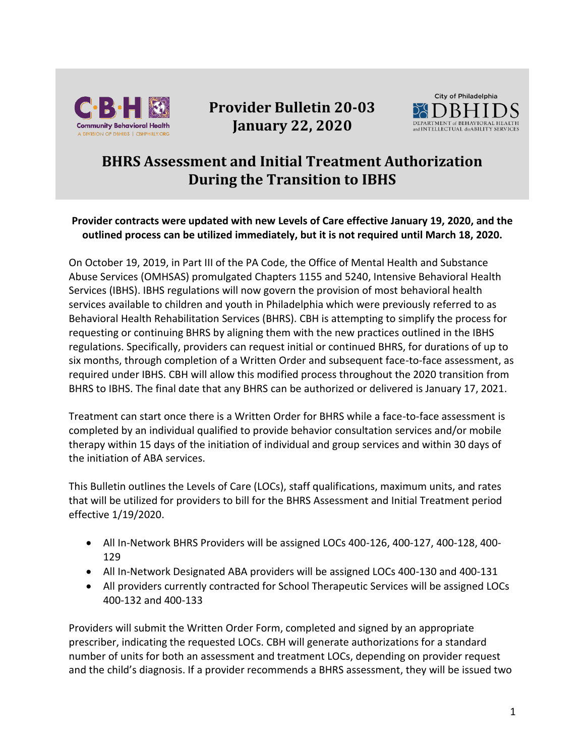

# **Provider Bulletin 20-03 January 22, 2020**



## **BHRS Assessment and Initial Treatment Authorization During the Transition to IBHS**

#### **Provider contracts were updated with new Levels of Care effective January 19, 2020, and the outlined process can be utilized immediately, but it is not required until March 18, 2020.**

On October 19, 2019, in Part III of the PA Code, the Office of Mental Health and Substance Abuse Services (OMHSAS) promulgated Chapters 1155 and 5240, Intensive Behavioral Health Services (IBHS). IBHS regulations will now govern the provision of most behavioral health services available to children and youth in Philadelphia which were previously referred to as Behavioral Health Rehabilitation Services (BHRS). CBH is attempting to simplify the process for requesting or continuing BHRS by aligning them with the new practices outlined in the IBHS regulations. Specifically, providers can request initial or continued BHRS, for durations of up to six months, through completion of a Written Order and subsequent face-to-face assessment, as required under IBHS. CBH will allow this modified process throughout the 2020 transition from BHRS to IBHS. The final date that any BHRS can be authorized or delivered is January 17, 2021.

Treatment can start once there is a Written Order for BHRS while a face-to-face assessment is completed by an individual qualified to provide behavior consultation services and/or mobile therapy within 15 days of the initiation of individual and group services and within 30 days of the initiation of ABA services.

This Bulletin outlines the Levels of Care (LOCs), staff qualifications, maximum units, and rates that will be utilized for providers to bill for the BHRS Assessment and Initial Treatment period effective 1/19/2020.

- All In-Network BHRS Providers will be assigned LOCs 400-126, 400-127, 400-128, 400- 129
- All In-Network Designated ABA providers will be assigned LOCs 400-130 and 400-131
- All providers currently contracted for School Therapeutic Services will be assigned LOCs 400-132 and 400-133

Providers will submit the Written Order Form, completed and signed by an appropriate prescriber, indicating the requested LOCs. CBH will generate authorizations for a standard number of units for both an assessment and treatment LOCs, depending on provider request and the child's diagnosis. If a provider recommends a BHRS assessment, they will be issued two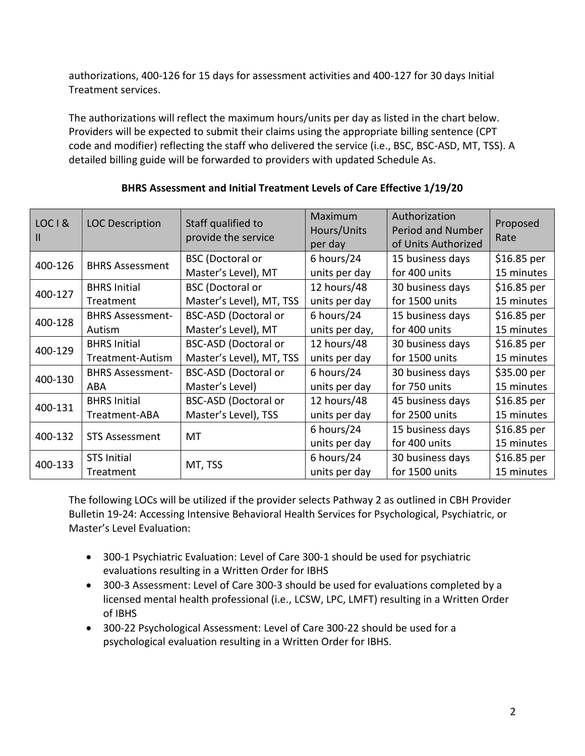authorizations, 400-126 for 15 days for assessment activities and 400-127 for 30 days Initial Treatment services.

The authorizations will reflect the maximum hours/units per day as listed in the chart below. Providers will be expected to submit their claims using the appropriate billing sentence (CPT code and modifier) reflecting the staff who delivered the service (i.e., BSC, BSC-ASD, MT, TSS). A detailed billing guide will be forwarded to providers with updated Schedule As.

| LOCI&<br>Ш | <b>LOC Description</b>  | Staff qualified to<br>provide the service | Maximum<br>Hours/Units<br>per day | Authorization<br><b>Period and Number</b><br>of Units Authorized | Proposed<br>Rate |
|------------|-------------------------|-------------------------------------------|-----------------------------------|------------------------------------------------------------------|------------------|
| 400-126    | <b>BHRS Assessment</b>  | <b>BSC</b> (Doctoral or                   | 6 hours/24                        | 15 business days                                                 | \$16.85 per      |
|            |                         | Master's Level), MT                       | units per day                     | for 400 units                                                    | 15 minutes       |
| 400-127    | <b>BHRS Initial</b>     | <b>BSC</b> (Doctoral or                   | 12 hours/48                       | 30 business days                                                 | \$16.85 per      |
|            | Treatment               | Master's Level), MT, TSS                  | units per day                     | for 1500 units                                                   | 15 minutes       |
| 400-128    | <b>BHRS Assessment-</b> | <b>BSC-ASD (Doctoral or</b>               | 6 hours/24                        | 15 business days                                                 | \$16.85 per      |
|            | Autism                  | Master's Level), MT                       | units per day,                    | for 400 units                                                    | 15 minutes       |
| 400-129    | <b>BHRS Initial</b>     | <b>BSC-ASD (Doctoral or</b>               | 12 hours/48                       | 30 business days                                                 | \$16.85 per      |
|            | Treatment-Autism        | Master's Level), MT, TSS                  | units per day                     | for 1500 units                                                   | 15 minutes       |
| 400-130    | <b>BHRS Assessment-</b> | <b>BSC-ASD (Doctoral or</b>               | 6 hours/24                        | 30 business days                                                 | \$35.00 per      |
|            | ABA                     | Master's Level)                           | units per day                     | for 750 units                                                    | 15 minutes       |
| 400-131    | <b>BHRS Initial</b>     | <b>BSC-ASD (Doctoral or</b>               | 12 hours/48                       | 45 business days                                                 | \$16.85 per      |
|            | Treatment-ABA           | Master's Level), TSS                      | units per day                     | for 2500 units                                                   | 15 minutes       |
| 400-132    | <b>STS Assessment</b>   | MT                                        | 6 hours/24                        | 15 business days                                                 | \$16.85 per      |
|            |                         |                                           | units per day                     | for 400 units                                                    | 15 minutes       |
| 400-133    | <b>STS Initial</b>      | MT, TSS                                   | 6 hours/24                        | 30 business days                                                 | \$16.85 per      |
|            | Treatment               |                                           | units per day                     | for 1500 units                                                   | 15 minutes       |

### **BHRS Assessment and Initial Treatment Levels of Care Effective 1/19/20**

The following LOCs will be utilized if the provider selects Pathway 2 as outlined in CBH Provider Bulletin 19-24: Accessing Intensive Behavioral Health Services for Psychological, Psychiatric, or Master's Level Evaluation:

- 300-1 Psychiatric Evaluation: Level of Care 300-1 should be used for psychiatric evaluations resulting in a Written Order for IBHS
- 300-3 Assessment: Level of Care 300-3 should be used for evaluations completed by a licensed mental health professional (i.e., LCSW, LPC, LMFT) resulting in a Written Order of IBHS
- 300-22 Psychological Assessment: Level of Care 300-22 should be used for a psychological evaluation resulting in a Written Order for IBHS.